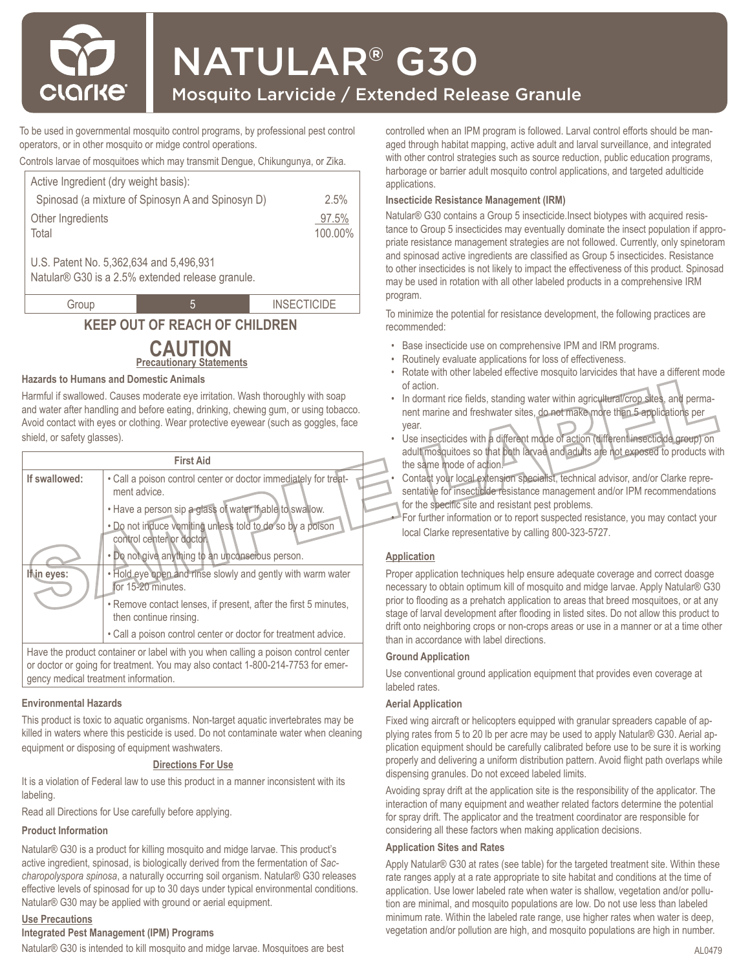

# NATULAR® G30

## Mosquito Larvicide / Extended Release Granule

To be used in governmental mosquito control programs, by professional pest control operators, or in other mosquito or midge control operations.

Controls larvae of mosquitoes which may transmit Dengue, Chikungunya, or Zika.

| Active Ingredient (dry weight basis):                                                       |                  |
|---------------------------------------------------------------------------------------------|------------------|
| Spinosad (a mixture of Spinosyn A and Spinosyn D)                                           | 2.5%             |
| Other Ingredients<br>Total                                                                  | 97.5%<br>100.00% |
| U.S. Patent No. 5,362,634 and 5,496,931<br>Natular® G30 is a 2.5% extended release granule. |                  |

Group 1 5 5 INSECTICIDE

# **KEEP OUT OF REACH OF CHILDREN**

#### **Precautionary Statements CAUTION**

#### **Hazards to Humans and Domestic Animals**

Harmful if swallowed. Causes moderate eye irritation. Wash thoroughly with soap and water after handling and before eating, drinking, chewing gum, or using tobacco. Avoid contact with eyes or clothing. Wear protective eyewear (such as goggles, face shield, or safety glasses).

| <b>First Aid</b>                     |                                                                                                                                                                                                                                                                                                                                                                                                                                                                                                                                               |  |  |
|--------------------------------------|-----------------------------------------------------------------------------------------------------------------------------------------------------------------------------------------------------------------------------------------------------------------------------------------------------------------------------------------------------------------------------------------------------------------------------------------------------------------------------------------------------------------------------------------------|--|--|
| If swallowed:<br>In eyes:            | . Call a poison control center or doctor immediately for treat-<br>ment advice.<br>. Have a person sip a glass of water if able to swallow.<br>. Do not induce vomiting unless told to do so by a poison<br>control center or doctor.<br>. Do not give anything to an unconscious person.<br>. Hold eye open and rinse slowly and gently with warm water<br>for 15-20 minutes.<br>. Remove contact lenses, if present, after the first 5 minutes,<br>then continue rinsing.<br>. Call a poison control center or doctor for treatment advice. |  |  |
| gency medical treatment information. | Have the product container or label with you when calling a poison control center<br>or doctor or going for treatment. You may also contact 1-800-214-7753 for emer-                                                                                                                                                                                                                                                                                                                                                                          |  |  |

#### **Environmental Hazards**

This product is toxic to aquatic organisms. Non-target aquatic invertebrates may be killed in waters where this pesticide is used. Do not contaminate water when cleaning equipment or disposing of equipment washwaters.

#### **Directions For Use**

It is a violation of Federal law to use this product in a manner inconsistent with its labeling.

Read all Directions for Use carefully before applying.

#### **Product Information**

Natular® G30 is a product for killing mosquito and midge larvae. This product's active ingredient, spinosad, is biologically derived from the fermentation of *Saccharopolyspora spinosa*, a naturally occurring soil organism. Natular® G30 releases effective levels of spinosad for up to 30 days under typical environmental conditions. Natular® G30 may be applied with ground or aerial equipment.

#### **Use Precautions**

#### **Integrated Pest Management (IPM) Programs**

Natular® G30 is intended to kill mosquito and midge larvae. Mosquitoes are best

controlled when an IPM program is followed. Larval control efforts should be managed through habitat mapping, active adult and larval surveillance, and integrated with other control strategies such as source reduction, public education programs, harborage or barrier adult mosquito control applications, and targeted adulticide applications.

#### **Insecticide Resistance Management (IRM)**

Natular® G30 contains a Group 5 insecticide.Insect biotypes with acquired resistance to Group 5 insecticides may eventually dominate the insect population if appropriate resistance management strategies are not followed. Currently, only spinetoram and spinosad active ingredients are classified as Group 5 insecticides. Resistance to other insecticides is not likely to impact the effectiveness of this product. Spinosad may be used in rotation with all other labeled products in a comprehensive IRM program.

To minimize the potential for resistance development, the following practices are recommended:

- Base insecticide use on comprehensive IPM and IRM programs.
- Routinely evaluate applications for loss of effectiveness.
- Rotate with other labeled effective mosquito larvicides that have a different mode of action.
- In dormant rice fields, standing water within agricultural/crop sites, and permanent marine and freshwater sites, do not make more than 5 applications per year.
- Use insecticides with a different mode of action (different insecticide group) on adult mosquitoes so that both larvae and adults are not exposed to products with the same mode of action.
- Contact your local extension specialist, technical advisor, and/or Clarke representative for insecticide resistance management and/or IPM recommendations for the specific site and resistant pest problems.
- For further information or to report suspected resistance, you may contact your local Clarke representative by calling 800-323-5727.

#### **Application**

Proper application techniques help ensure adequate coverage and correct doasge necessary to obtain optimum kill of mosquito and midge larvae. Apply Natular® G30 prior to flooding as a prehatch application to areas that breed mosquitoes, or at any stage of larval development after flooding in listed sites. Do not allow this product to drift onto neighboring crops or non-crops areas or use in a manner or at a time other than in accordance with label directions.

#### **Ground Application**

Use conventional ground application equipment that provides even coverage at labeled rates.

#### **Aerial Application**

Fixed wing aircraft or helicopters equipped with granular spreaders capable of applying rates from 5 to 20 lb per acre may be used to apply Natular® G30. Aerial application equipment should be carefully calibrated before use to be sure it is working properly and delivering a uniform distribution pattern. Avoid flight path overlaps while dispensing granules. Do not exceed labeled limits.

Avoiding spray drift at the application site is the responsibility of the applicator. The interaction of many equipment and weather related factors determine the potential for spray drift. The applicator and the treatment coordinator are responsible for considering all these factors when making application decisions.

#### **Application Sites and Rates**

Apply Natular® G30 at rates (see table) for the targeted treatment site. Within these rate ranges apply at a rate appropriate to site habitat and conditions at the time of application. Use lower labeled rate when water is shallow, vegetation and/or pollution are minimal, and mosquito populations are low. Do not use less than labeled minimum rate. Within the labeled rate range, use higher rates when water is deep, vegetation and/or pollution are high, and mosquito populations are high in number.